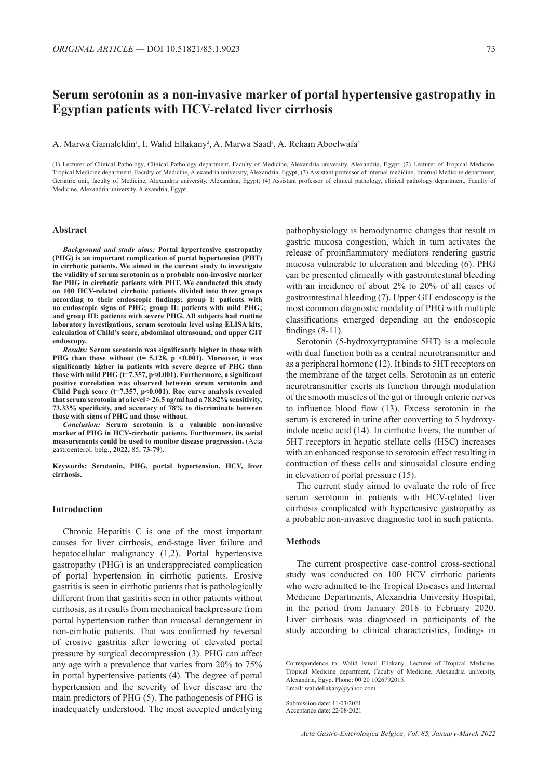# **Serum serotonin as a non-invasive marker of portal hypertensive gastropathy in Egyptian patients with HCV-related liver cirrhosis**

#### A. Marwa Gamaleldin<sup>1</sup>, I. Walid Ellakany<sup>2</sup>, A. Marwa Saad<sup>3</sup>, A. Reham Aboelwafa<sup>4</sup>

(1) Lecturer of Clinical Pathology, Clinical Pathology department, Faculty of Medicine, Alexandria university, Alexandria, Egypt; (2) Lecturer of Tropical Medicine, Tropical Medicine department, Faculty of Medicine, Alexandria university, Alexandria, Egypt; (3) Assistant professor of internal medicine, Internal Medicine department, Geriatric unit, faculty of Medicine, Alexandria university, Alexandria, Egypt; (4) Assistant professor of clinical pathology, clinical pathology department, Faculty of Medicine, Alexandria university, Alexandria, Egypt.

#### **Abstract**

*Background and study aims:* **Portal hypertensive gastropathy (PHG) is an important complication of portal hypertension (PHT) in cirrhotic patients. We aimed in the current study to investigate the validity of serum serotonin as a probable non-invasive marker for PHG in cirrhotic patients with PHT. We conducted this study on 100 HCV-related cirrhotic patients divided into three groups according to their endoscopic findings; group I: patients with no endoscopic signs of PHG; group II: patients with mild PHG; and group III: patients with severe PHG. All subjects had routine laboratory investigations, serum serotonin level using ELISA kits, calculation of Child's score, abdominal ultrasound, and upper GIT endoscopy.**

*Results:* **Serum serotonin was significantly higher in those with**  PHG than those without (t= 5.128, p <0.001). Moreover, it was **significantly higher in patients with severe degree of PHG than those with mild PHG (t=7.357, p<0.001). Furthermore, a significant positive correlation was observed between serum serotonin and Child Pugh score (t=7.357, p<0.001). Roc curve analysis revealed that serum serotonin at a level ˃ 26.5 ng/ml had a 78.82% sensitivity, 73.33% specificity, and accuracy of 78% to discriminate between those with signs of PHG and those without.** 

*Conclusion:* **Serum serotonin is a valuable non-invasive marker of PHG in HCV-cirrhotic patients. Furthermore, its serial measurements could be used to monitor disease progression.** (Acta gastroenterol. belg., **2022,** 85, **73-79**).

**Keywords: Serotonin, PHG, portal hypertension, HCV, liver cirrhosis.**

#### **Introduction**

Chronic Hepatitis C is one of the most important causes for liver cirrhosis, end-stage liver failure and hepatocellular malignancy (1,2). Portal hypertensive gastropathy (PHG) is an underappreciated complication of portal hypertension in cirrhotic patients. Erosive gastritis is seen in cirrhotic patients that is pathologically different from that gastritis seen in other patients without cirrhosis, as it results from mechanical backpressure from portal hypertension rather than mucosal derangement in non-cirrhotic patients. That was confirmed by reversal of erosive gastritis after lowering of elevated portal pressure by surgical decompression (3). PHG can affect any age with a prevalence that varies from 20% to 75% in portal hypertensive patients (4). The degree of portal hypertension and the severity of liver disease are the main predictors of PHG (5). The pathogenesis of PHG is inadequately understood. The most accepted underlying

pathophysiology is hemodynamic changes that result in gastric mucosa congestion, which in turn activates the release of proinflammatory mediators rendering gastric mucosa vulnerable to ulceration and bleeding (6). PHG can be presented clinically with gastrointestinal bleeding with an incidence of about 2% to 20% of all cases of gastrointestinal bleeding (7). Upper GIT endoscopy is the most common diagnostic modality of PHG with multiple classifications emerged depending on the endoscopic findings (8-11).

Serotonin (5-hydroxytryptamine 5HT) is a molecule with dual function both as a central neurotransmitter and as a peripheral hormone (12). It binds to 5HT receptors on the membrane of the target cells. Serotonin as an enteric neurotransmitter exerts its function through modulation of the smooth muscles of the gut or through enteric nerves to influence blood flow (13). Excess serotonin in the serum is excreted in urine after converting to 5 hydroxyindole acetic acid (14). In cirrhotic livers, the number of 5HT receptors in hepatic stellate cells (HSC) increases with an enhanced response to serotonin effect resulting in contraction of these cells and sinusoidal closure ending in elevation of portal pressure (15).

The current study aimed to evaluate the role of free serum serotonin in patients with HCV-related liver cirrhosis complicated with hypertensive gastropathy as a probable non-invasive diagnostic tool in such patients.

## **Methods**

The current prospective case-control cross-sectional study was conducted on 100 HCV cirrhotic patients who were admitted to the Tropical Diseases and Internal Medicine Departments, Alexandria University Hospital, in the period from January 2018 to February 2020. Liver cirrhosis was diagnosed in participants of the study according to clinical characteristics, findings in

Correspondence to: Walid Ismail Ellakany, Lecturer of Tropical Medicine, Tropical Medicine department, Faculty of Medicine, Alexandria university, Alexandria, Egyp. Phone: 00 20 1026792015. Email: walidellakany@yahoo.com

Submission date: 11/03/2021 Acceptance date: 22/08/2021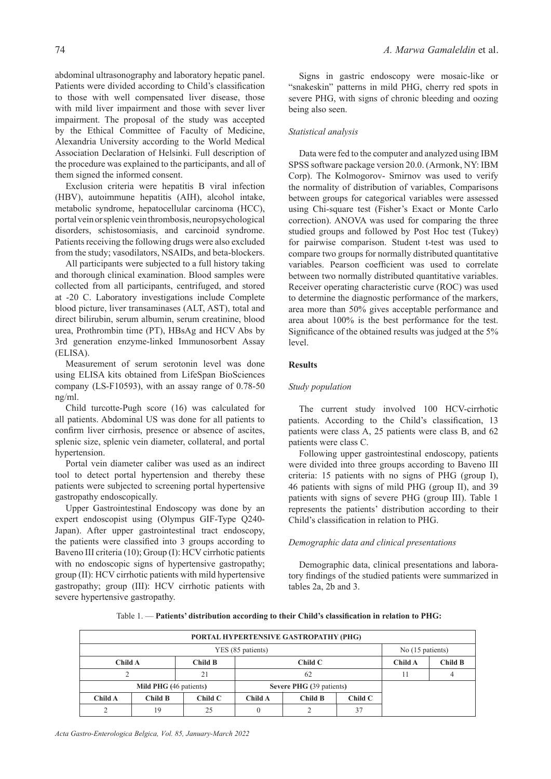abdominal ultrasonography and laboratory hepatic panel. Patients were divided according to Child's classification to those with well compensated liver disease, those with mild liver impairment and those with sever liver impairment. The proposal of the study was accepted by the Ethical Committee of Faculty of Medicine, Alexandria University according to the World Medical Association Declaration of Helsinki. Full description of the procedure was explained to the participants, and all of them signed the informed consent.

Exclusion criteria were hepatitis B viral infection (HBV), autoimmune hepatitis (AIH), alcohol intake, metabolic syndrome, hepatocellular carcinoma (HCC), portal vein or splenic vein thrombosis, neuropsychological disorders, schistosomiasis, and carcinoid syndrome. Patients receiving the following drugs were also excluded from the study; vasodilators, NSAIDs, and beta-blockers.

All participants were subjected to a full history taking and thorough clinical examination. Blood samples were collected from all participants, centrifuged, and stored at -20 C. Laboratory investigations include Complete blood picture, liver transaminases (ALT, AST), total and direct bilirubin, serum albumin, serum creatinine, blood urea, Prothrombin time (PT), HBsAg and HCV Abs by 3rd generation enzyme-linked Immunosorbent Assay (ELISA).

Measurement of serum serotonin level was done using ELISA kits obtained from LifeSpan BioSciences company (LS-F10593), with an assay range of 0.78-50 ng/ml.

Child turcotte-Pugh score (16) was calculated for all patients. Abdominal US was done for all patients to confirm liver cirrhosis, presence or absence of ascites, splenic size, splenic vein diameter, collateral, and portal hypertension.

Portal vein diameter caliber was used as an indirect tool to detect portal hypertension and thereby these patients were subjected to screening portal hypertensive gastropathy endoscopically.

Upper Gastrointestinal Endoscopy was done by an expert endoscopist using (Olympus GIF-Type Q240- Japan). After upper gastrointestinal tract endoscopy, the patients were classified into 3 groups according to Baveno III criteria (10); Group (I): HCV cirrhotic patients with no endoscopic signs of hypertensive gastropathy; group (II): HCV cirrhotic patients with mild hypertensive gastropathy; group (III): HCV cirrhotic patients with severe hypertensive gastropathy.

Signs in gastric endoscopy were mosaic-like or "snakeskin" patterns in mild PHG, cherry red spots in severe PHG, with signs of chronic bleeding and oozing being also seen.

# *Statistical analysis*

Data were fed to the computer and analyzed using IBM SPSS software package version 20.0. (Armonk, NY: IBM Corp). The Kolmogorov- Smirnov was used to verify the normality of distribution of variables, Comparisons between groups for categorical variables were assessed using Chi-square test (Fisher's Exact or Monte Carlo correction). ANOVA was used for comparing the three studied groups and followed by Post Hoc test (Tukey) for pairwise comparison. Student t-test was used to compare two groups for normally distributed quantitative variables. Pearson coefficient was used to correlate between two normally distributed quantitative variables. Receiver operating characteristic curve (ROC) was used to determine the diagnostic performance of the markers, area more than 50% gives acceptable performance and area about 100% is the best performance for the test. Significance of the obtained results was judged at the 5% level.

# **Results**

## *Study population*

The current study involved 100 HCV-cirrhotic patients. According to the Child's classification, 13 patients were class A, 25 patients were class B, and 62 patients were class C.

Following upper gastrointestinal endoscopy, patients were divided into three groups according to Baveno III criteria: 15 patients with no signs of PHG (group I), 46 patients with signs of mild PHG (group II), and 39 patients with signs of severe PHG (group III). Table 1 represents the patients' distribution according to their Child's classification in relation to PHG.

# *Demographic data and clinical presentations*

Demographic data, clinical presentations and laboratory findings of the studied patients were summarized in tables 2a, 2b and 3.

|  | Table 1. - Patients' distribution according to their Child's classification in relation to PHG: |  |
|--|-------------------------------------------------------------------------------------------------|--|
|  |                                                                                                 |  |

| PORTAL HYPERTENSIVE GASTROPATHY (PHG) |                               |         |                                 |  |    |         |                |  |  |
|---------------------------------------|-------------------------------|---------|---------------------------------|--|----|---------|----------------|--|--|
| YES (85 patients)<br>No (15 patients) |                               |         |                                 |  |    |         |                |  |  |
| <b>Child A</b>                        |                               | Child B | ChildC                          |  |    | Child A | <b>Child B</b> |  |  |
|                                       |                               | 21      | 62                              |  |    | 11      |                |  |  |
|                                       | <b>Mild PHG</b> (46 patients) |         | <b>Severe PHG (39 patients)</b> |  |    |         |                |  |  |
| Child A                               | Child B                       | ChildC  | Child A<br>Child B<br>ChildC    |  |    |         |                |  |  |
|                                       | 19                            | 25      |                                 |  | 37 |         |                |  |  |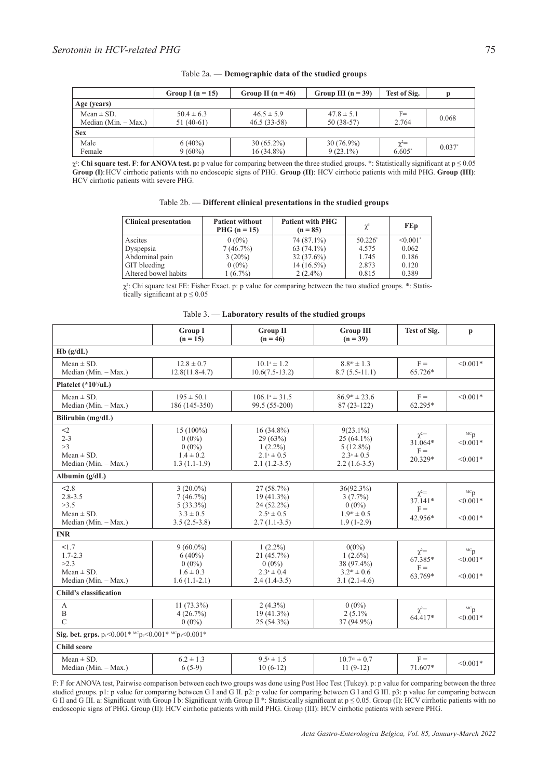|                        | Group I ( $n = 15$ ) | Group II ( $n = 46$ ) | Group III $(n = 39)$ | Test of Sig. | p        |  |
|------------------------|----------------------|-----------------------|----------------------|--------------|----------|--|
| Age (years)            |                      |                       |                      |              |          |  |
| Mean $\pm$ SD.         | $50.4 \pm 6.3$       | $46.5 \pm 5.9$        | $47.8 \pm 5.1$       | $F =$        | 0.068    |  |
| Median $(Min. - Max.)$ | $51(40-61)$          | $46.5(33-58)$         | $50(38-57)$          | 2.764        |          |  |
| <b>Sex</b>             |                      |                       |                      |              |          |  |
| Male                   | $6(40\%)$            | $30(65.2\%)$          | $30(76.9\%)$         | $\chi^2 =$   | $0.037*$ |  |
| Female                 | $9(60\%)$            | $16(34.8\%)$          | $9(23.1\%)$          | $6.605*$     |          |  |

| Table $2a$ . — Demographic data of the studied groups |  |  |
|-------------------------------------------------------|--|--|
|                                                       |  |  |

χ2 : **Chi square test. F**: **for ANOVA test. p:** p value for comparing between the three studied groups. \*: Statistically significant at p ≤ 0.05 **Group (I)**:HCV cirrhotic patients with no endoscopic signs of PHG. **Group (II)**: HCV cirrhotic patients with mild PHG. **Group (III)**: HCV cirrhotic patients with severe PHG.

| Table 2b. - Different clinical presentations in the studied groups |
|--------------------------------------------------------------------|
|--------------------------------------------------------------------|

| <b>Clinical presentation</b> | <b>Patient without</b><br>$PHG (n = 15)$ | <b>Patient with PHG</b><br>$(n = 85)$ | $\chi^2$   | <b>FEp</b>                |
|------------------------------|------------------------------------------|---------------------------------------|------------|---------------------------|
| Ascites                      | $0(0\%)$                                 | 74 (87.1%)                            | $50.226^*$ | $\leq 0.001$ <sup>*</sup> |
| Dyspepsia                    | 7(46.7%)                                 | $63(74.1\%)$                          | 4.575      | 0.062                     |
| Abdominal pain               | $3(20\%)$                                | $32(37.6\%)$                          | 1.745      | 0.186                     |
| GIT bleeding                 | $0(0\%)$                                 | $14(16.5\%)$                          | 2.873      | 0.120                     |
| Altered bowel habits         | $1(6.7\%)$                               | $2(2.4\%)$                            | 0.815      | 0.389                     |

 $\chi^2$ : Chi square test FE: Fisher Exact. p: p value for comparing between the two studied groups. \*: Statistically significant at  $p \le 0.05$ 

Table 3. — **Laboratory results of the studied groups**

|                                                                        | <b>Group I</b><br>$(n = 15)$                                              | <b>Group II</b><br>$(n = 46)$                                                      | <b>Group III</b><br>$(n = 39)$                                                        | Test of Sig.                                  | $\mathbf{p}$                                         |
|------------------------------------------------------------------------|---------------------------------------------------------------------------|------------------------------------------------------------------------------------|---------------------------------------------------------------------------------------|-----------------------------------------------|------------------------------------------------------|
| Hb(g/dL)                                                               |                                                                           |                                                                                    |                                                                                       |                                               |                                                      |
| $Mean \pm SD$ .<br>Median (Min. - Max.)                                | $12.8 \pm 0.7$<br>$12.8(11.8-4.7)$                                        | $10.1^a \pm 1.2$<br>$10.6(7.5-13.2)$                                               | $8.8^{ab} \pm 1.3$<br>$8.7(5.5-11.1)$                                                 | $F =$<br>65.726*                              | $< 0.001*$                                           |
| Platelet $(*103/uL)$                                                   |                                                                           |                                                                                    |                                                                                       |                                               |                                                      |
| $Mean \pm SD$ .<br>Median (Min. $-$ Max.)                              | $195 \pm 50.1$<br>186 (145-350)                                           | $106.1^a \pm 31.5$<br>99.5 (55-200)                                                | $86.9^{ab} \pm 23.6$<br>$87(23-122)$                                                  | $F =$<br>62.295*                              | $< 0.001*$                                           |
| Bilirubin (mg/dL)                                                      |                                                                           |                                                                                    |                                                                                       |                                               |                                                      |
| $2$<br>$2 - 3$<br>>3<br>$Mean \pm SD$ .<br>Median (Min. - Max.)        | $15(100\%)$<br>$0(0\%)$<br>$0(0\%)$<br>$1.4 \pm 0.2$<br>$1.3(1.1-1.9)$    | $16(34.8\%)$<br>29(63%)<br>$1(2.2\%)$<br>$2.1^a \pm 0.5$<br>$2.1(1.2-3.5)$         | $9(23.1\%)$<br>$25(64.1\%)$<br>$5(12.8\%)$<br>$2.3^{\circ} \pm 0.5$<br>$2.2(1.6-3.5)$ | $\chi^2$ =<br>31.064*<br>$F =$<br>20.329*     | ${}^{\text{\tiny{MC}}}p$<br>$< 0.001*$<br>$< 0.001*$ |
| Albumin $(g/dL)$                                                       |                                                                           |                                                                                    |                                                                                       |                                               |                                                      |
| 2.8<br>$2.8 - 3.5$<br>>3.5<br>$Mean \pm SD$ .<br>Median (Min. - Max.)  | $3(20.0\%)$<br>7(46.7%)<br>$5(33.3\%)$<br>$3.3 \pm 0.5$<br>$3.5(2.5-3.8)$ | 27(58.7%)<br>$19(41.3\%)$<br>24 (52.2%)<br>$2.5^{\circ} \pm 0.5$<br>$2.7(1.1-3.5)$ | 36(92.3%)<br>$3(7.7\%)$<br>$0(0\%)$<br>$1.9^{ab} \pm 0.5$<br>$1.9(1-2.9)$             | $\chi^2$ =<br>37.141*<br>$F =$<br>42.956*     | ${}^{\text{\tiny{MC}}}p$<br>$< 0.001*$<br>$< 0.001*$ |
| <b>INR</b>                                                             |                                                                           |                                                                                    |                                                                                       |                                               |                                                      |
| 1.7<br>$1.7 - 2.3$<br>>2.3<br>$Mean \pm SD$ .<br>Median (Min. - Max.)  | $9(60.0\%)$<br>$6(40\%)$<br>$0(0\%)$<br>$1.6 \pm 0.3$<br>$1.6(1.1-2.1)$   | $1(2.2\%)$<br>21 (45.7%)<br>$0(0\%)$<br>$2.3^a \pm 0.4$<br>$2.4(1.4-3.5)$          | $0(0\%)$<br>$1(2.6\%)$<br>38 (97.4%)<br>$3.2^{ab} \pm 0.6$<br>$3.1(2.1-4.6)$          | $\chi^{\!2\!}$<br>67.385*<br>$F =$<br>63.769* | ${}^{\text{MC}}D$<br>$< 0.001*$<br>$< 0.001*$        |
| <b>Child's classification</b>                                          |                                                                           |                                                                                    |                                                                                       |                                               |                                                      |
| $\mathbf{A}$<br>$\mathbf B$<br>$\mathcal{C}$                           | $11(73.3\%)$<br>4(26.7%)<br>$0(0\%)$                                      | $2(4.3\%)$<br>$19(41.3\%)$<br>$25(54.3\%)$                                         | $0(0\%)$<br>$2(5.1\%$<br>37 (94.9%)                                                   | $\chi^2$ =<br>64.417*                         | ${}^{\text{MC}}\mathbf{p}$<br>$< 0.001*$             |
| Sig. bet. grps. $p_1 < 0.001*$ $^{MC}p_2 < 0.001*$ $^{MC}p_3 < 0.001*$ |                                                                           |                                                                                    |                                                                                       |                                               |                                                      |
| <b>Child score</b>                                                     |                                                                           |                                                                                    |                                                                                       |                                               |                                                      |
| $Mean \pm SD$ .<br>Median (Min. - Max.)                                | $6.2 \pm 1.3$<br>$6(5-9)$                                                 | $9.5^{\circ} \pm 1.5$<br>$10(6-12)$                                                | $10.7^{ab} \pm 0.7$<br>$11(9-12)$                                                     | $F =$<br>71.607*                              | $< 0.001*$                                           |

F: F for ANOVA test, Pairwise comparison between each two groups was done using Post Hoc Test (Tukey). p: p value for comparing between the three studied groups. p1: p value for comparing between G I and G II. p2: p value for comparing between G I and G III. p3: p value for comparing between G II and G III. a: Significant with Group I b: Significant with Group II \*: Statistically significant at  $p \le 0.05$ . Group (I): HCV cirrhotic patients with no endoscopic signs of PHG. Group (II): HCV cirrhotic patients with mild PHG. Group (III): HCV cirrhotic patients with severe PHG.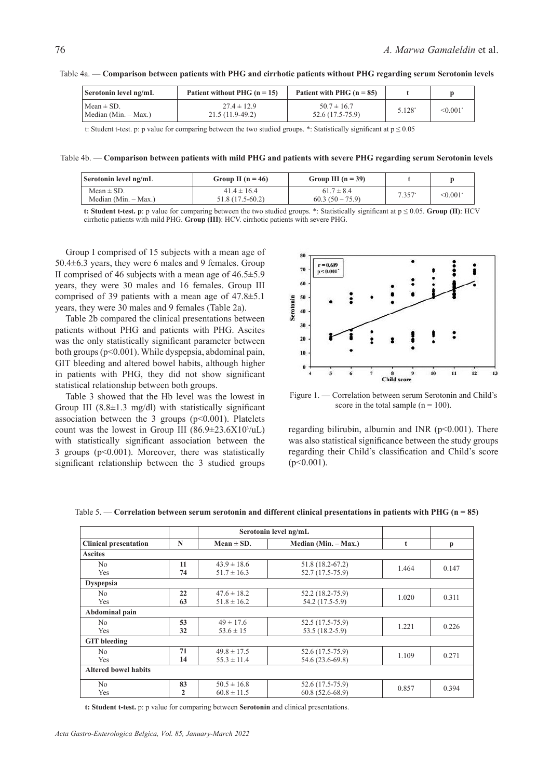| Serotonin level ng/mL                   | Patient without PHG $(n = 15)$       | Patient with PHG $(n = 85)$         |        |         |
|-----------------------------------------|--------------------------------------|-------------------------------------|--------|---------|
| $Mean \pm SD$ .<br>Median (Min. – Max.) | $27.4 \pm 12.9$<br>$21.5(11.9-49.2)$ | $50.7 \pm 16.7$<br>52.6 (17.5-75.9) | 5.128* | < 0.001 |

Table 4a. — **Comparison between patients with PHG and cirrhotic patients without PHG regarding serum Serotonin levels**

t: Student t-test. p: p value for comparing between the two studied groups. \*: Statistically significant at  $p \le 0.05$ 

Table 4b. — **Comparison between patients with mild PHG and patients with severe PHG regarding serum Serotonin levels**

| Serotonin level ng/mL                    | Group II ( $n = 46$ )               | Group III $(n = 39)$              |          |         |
|------------------------------------------|-------------------------------------|-----------------------------------|----------|---------|
| Mean $\pm$ SD.<br>Median $(Min. - Max.)$ | $41.4 \pm 16.4$<br>51.8 (17.5-60.2) | $61.7 \pm 8.4$<br>$60.3(50-75.9)$ | $7.357*$ | < 0.001 |

**t: Student t-test. p**: p value for comparing between the two studied groups. \*: Statistically significant at  $p \le 0.05$ . **Group (II)**: HCV cirrhotic patients with mild PHG. **Group (III)**: HCV. cirrhotic patients with severe PHG.

Group I comprised of 15 subjects with a mean age of 50.4±6.3 years, they were 6 males and 9 females. Group II comprised of 46 subjects with a mean age of  $46.5\pm5.9$ years, they were 30 males and 16 females. Group III comprised of 39 patients with a mean age of 47.8±5.1 years, they were 30 males and 9 females (Table 2a).

Table 2b compared the clinical presentations between patients without PHG and patients with PHG. Ascites was the only statistically significant parameter between both groups (p<0.001). While dyspepsia, abdominal pain, GIT bleeding and altered bowel habits, although higher in patients with PHG, they did not show significant statistical relationship between both groups.

Table 3 showed that the Hb level was the lowest in Group III  $(8.8\pm1.3 \text{ mg/dl})$  with statistically significant association between the 3 groups  $(p<0.001)$ . Platelets count was the lowest in Group III  $(86.9 \pm 23.6 \times 10^{3}/uL)$ with statistically significant association between the 3 groups  $(p<0.001)$ . Moreover, there was statistically significant relationship between the 3 studied groups



Figure 1. — Correlation between serum Serotonin and Child's score in the total sample  $(n = 100)$ .

regarding bilirubin, albumin and INR (p<0.001). There was also statistical significance between the study groups regarding their Child's classification and Child's score  $(p<0.001)$ .

|                              |              | Serotonin level ng/mL                  |                   |       |       |  |
|------------------------------|--------------|----------------------------------------|-------------------|-------|-------|--|
| <b>Clinical presentation</b> | N            | Median (Min. – Max.)<br>Mean $\pm$ SD. |                   | t     | p     |  |
| <b>Ascites</b>               |              |                                        |                   |       |       |  |
| N <sub>0</sub>               | 11           | $43.9 \pm 18.6$                        | 51.8 (18.2-67.2)  | 1.464 | 0.147 |  |
| Yes                          | 74           | $51.7 \pm 16.3$                        | 52.7 (17.5-75.9)  |       |       |  |
| <b>Dyspepsia</b>             |              |                                        |                   |       |       |  |
| N <sub>0</sub>               | 22           | $47.6 \pm 18.2$                        | 52.2 (18.2-75.9)  | 1.020 | 0.311 |  |
| Yes                          | 63           | $51.8 \pm 16.2$                        | 54.2 (17.5-5.9)   |       |       |  |
| Abdominal pain               |              |                                        |                   |       |       |  |
| N <sub>0</sub>               | 53           | $49 \pm 17.6$                          | 52.5 (17.5-75.9)  |       | 0.226 |  |
| Yes                          | 32           | $53.6 \pm 15$                          | 53.5 (18.2-5.9)   | 1.221 |       |  |
| <b>GIT</b> bleeding          |              |                                        |                   |       |       |  |
| N <sub>0</sub>               | 71           | $49.8 \pm 17.5$                        | 52.6 (17.5-75.9)  | 1.109 | 0.271 |  |
| Yes                          | 14           | $55.3 \pm 11.4$                        | 54.6 (23.6-69.8)  |       |       |  |
| <b>Altered bowel habits</b>  |              |                                        |                   |       |       |  |
| No                           | 83           | $50.5 \pm 16.8$                        | 52.6 (17.5-75.9)  |       |       |  |
| Yes                          | $\mathbf{2}$ | $60.8 \pm 11.5$                        | $60.8(52.6-68.9)$ | 0.857 | 0.394 |  |

Table 5. — **Correlation between serum serotonin and different clinical presentations in patients with PHG (n = 85)**

**t: Student t-test.** p: p value for comparing between **Serotonin** and clinical presentations.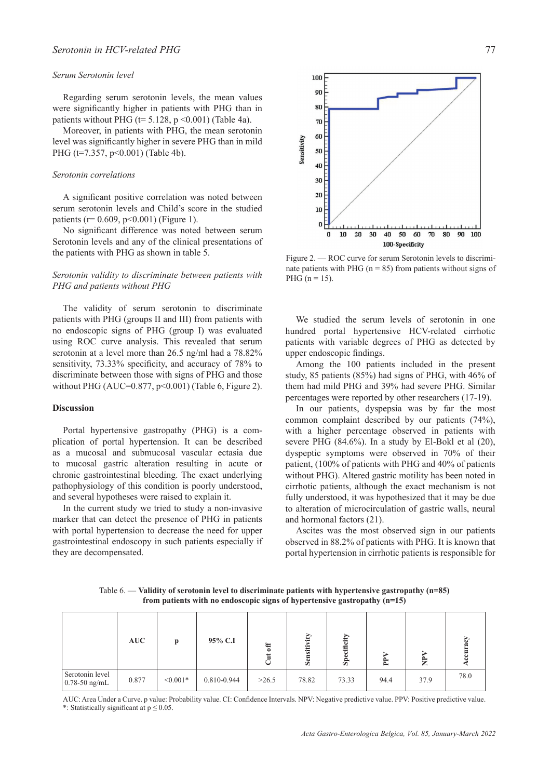# *Serum Serotonin level*

Regarding serum serotonin levels, the mean values were significantly higher in patients with PHG than in patients without PHG ( $t= 5.128$ ,  $p \le 0.001$ ) (Table 4a).

Moreover, in patients with PHG, the mean serotonin level was significantly higher in severe PHG than in mild PHG (t=7.357, p<0.001) (Table 4b).

## *Serotonin correlations*

A significant positive correlation was noted between serum serotonin levels and Child's score in the studied patients ( $r= 0.609$ ,  $p<0.001$ ) (Figure 1).

No significant difference was noted between serum Serotonin levels and any of the clinical presentations of the patients with PHG as shown in table 5.

# *Serotonin validity to discriminate between patients with PHG and patients without PHG*

The validity of serum serotonin to discriminate patients with PHG (groups II and III) from patients with no endoscopic signs of PHG (group I) was evaluated using ROC curve analysis. This revealed that serum serotonin at a level more than 26.5 ng/ml had a 78.82% sensitivity, 73.33% specificity, and accuracy of 78% to discriminate between those with signs of PHG and those without PHG (AUC=0.877, p<0.001) (Table 6, Figure 2).

## **Discussion**

Portal hypertensive gastropathy (PHG) is a complication of portal hypertension. It can be described as a mucosal and submucosal vascular ectasia due to mucosal gastric alteration resulting in acute or chronic gastrointestinal bleeding. The exact underlying pathophysiology of this condition is poorly understood, and several hypotheses were raised to explain it.

In the current study we tried to study a non-invasive marker that can detect the presence of PHG in patients with portal hypertension to decrease the need for upper gastrointestinal endoscopy in such patients especially if they are decompensated.



Figure 2. — ROC curve for serum Serotonin levels to discriminate patients with PHG ( $n = 85$ ) from patients without signs of PHG ( $n = 15$ ).

We studied the serum levels of serotonin in one hundred portal hypertensive HCV-related cirrhotic patients with variable degrees of PHG as detected by upper endoscopic findings.

Among the 100 patients included in the present study, 85 patients (85%) had signs of PHG, with 46% of them had mild PHG and 39% had severe PHG. Similar percentages were reported by other researchers (17-19).

In our patients, dyspepsia was by far the most common complaint described by our patients (74%), with a higher percentage observed in patients with severe PHG (84.6%). In a study by El-Bokl et al (20), dyspeptic symptoms were observed in 70% of their patient, (100% of patients with PHG and 40% of patients without PHG). Altered gastric motility has been noted in cirrhotic patients, although the exact mechanism is not fully understood, it was hypothesized that it may be due to alteration of microcirculation of gastric walls, neural and hormonal factors (21).

Ascites was the most observed sign in our patients observed in 88.2% of patients with PHG. It is known that portal hypertension in cirrhotic patients is responsible for

Table 6. — **Validity of serotonin level to discriminate patients with hypertensive gastropathy (n=85) from patients with no endoscopic signs of hypertensive gastropathy (n=15)**

|                                    | AUC   | $\mathbf{p}$ | 95% C.I     | <b>F</b><br>ă<br><b>F</b> 1<br>◡ | S <sub>e</sub> | cificity<br>ه<br>ŠÞ. | Ê    | È    |      |
|------------------------------------|-------|--------------|-------------|----------------------------------|----------------|----------------------|------|------|------|
| Serotonin level<br>$0.78-50$ ng/mL | 0.877 | $< 0.001*$   | 0.810-0.944 | >26.5                            | 78.82          | 73.33                | 94.4 | 37.9 | 78.0 |

AUC: Area Under a Curve. p value: Probability value. CI: Confidence Intervals. NPV: Negative predictive value. PPV: Positive predictive value. \*: Statistically significant at  $p \le 0.05$ .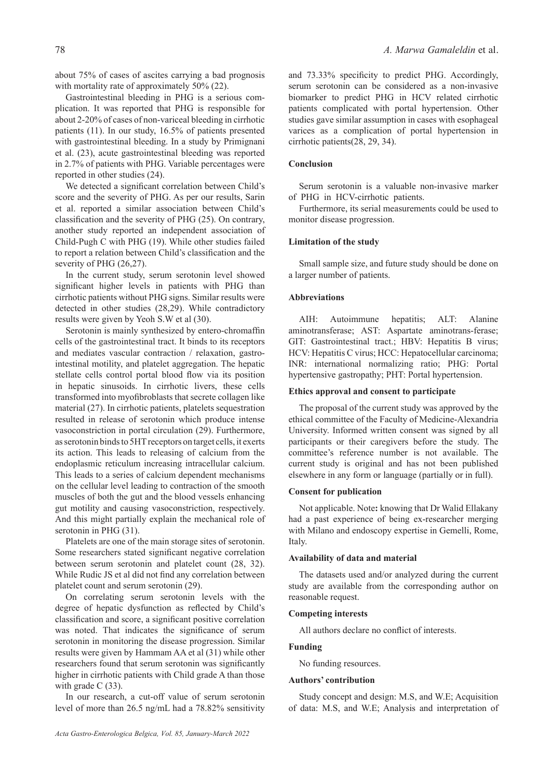about 75% of cases of ascites carrying a bad prognosis with mortality rate of approximately 50% (22).

Gastrointestinal bleeding in PHG is a serious complication. It was reported that PHG is responsible for about 2-20% of cases of non-variceal bleeding in cirrhotic patients (11). In our study, 16.5% of patients presented with gastrointestinal bleeding. In a study by Primignani et al. (23), acute gastrointestinal bleeding was reported in 2.7% of patients with PHG. Variable percentages were reported in other studies (24).

We detected a significant correlation between Child's score and the severity of PHG. As per our results, Sarin et al. reported a similar association between Child's classification and the severity of PHG (25). On contrary, another study reported an independent association of Child-Pugh C with PHG (19). While other studies failed to report a relation between Child's classification and the severity of PHG (26,27).

In the current study, serum serotonin level showed significant higher levels in patients with PHG than cirrhotic patients without PHG signs. Similar results were detected in other studies (28,29). While contradictory results were given by Yeoh S.W et al (30).

Serotonin is mainly synthesized by entero-chromaffin cells of the gastrointestinal tract. It binds to its receptors and mediates vascular contraction / relaxation, gastrointestinal motility, and platelet aggregation. The hepatic stellate cells control portal blood flow via its position in hepatic sinusoids. In cirrhotic livers, these cells transformed into myofibroblasts that secrete collagen like material (27). In cirrhotic patients, platelets sequestration resulted in release of serotonin which produce intense vasoconstriction in portal circulation (29). Furthermore, as serotonin binds to 5HT receptors on target cells, it exerts its action. This leads to releasing of calcium from the endoplasmic reticulum increasing intracellular calcium. This leads to a series of calcium dependent mechanisms on the cellular level leading to contraction of the smooth muscles of both the gut and the blood vessels enhancing gut motility and causing vasoconstriction, respectively. And this might partially explain the mechanical role of serotonin in PHG (31).

Platelets are one of the main storage sites of serotonin. Some researchers stated significant negative correlation between serum serotonin and platelet count (28, 32). While Rudic JS et al did not find any correlation between platelet count and serum serotonin (29).

On correlating serum serotonin levels with the degree of hepatic dysfunction as reflected by Child's classification and score, a significant positive correlation was noted. That indicates the significance of serum serotonin in monitoring the disease progression. Similar results were given by Hammam AA et al (31) while other researchers found that serum serotonin was significantly higher in cirrhotic patients with Child grade A than those with grade C (33).

In our research, a cut-off value of serum serotonin level of more than 26.5 ng/mL had a 78.82% sensitivity

and 73.33% specificity to predict PHG. Accordingly, serum serotonin can be considered as a non-invasive biomarker to predict PHG in HCV related cirrhotic patients complicated with portal hypertension. Other studies gave similar assumption in cases with esophageal varices as a complication of portal hypertension in cirrhotic patients(28, 29, 34).

## **Conclusion**

Serum serotonin is a valuable non-invasive marker of PHG in HCV-cirrhotic patients.

Furthermore, its serial measurements could be used to monitor disease progression.

## **Limitation of the study**

Small sample size, and future study should be done on a larger number of patients.

# **Abbreviations**

AIH: Autoimmune hepatitis; ALT: Alanine aminotransferase; AST: Aspartate aminotrans-ferase; GIT: Gastrointestinal tract.; HBV: Hepatitis B virus; HCV: Hepatitis C virus; HCC: Hepatocellular carcinoma; INR: international normalizing ratio; PHG: Portal hypertensive gastropathy; PHT: Portal hypertension.

## **Ethics approval and consent to participate**

The proposal of the current study was approved by the ethical committee of the Faculty of Medicine-Alexandria University. Informed written consent was signed by all participants or their caregivers before the study. The committee's reference number is not available. The current study is original and has not been published elsewhere in any form or language (partially or in full).

# **Consent for publication**

Not applicable. Note**:** knowing that Dr Walid Ellakany had a past experience of being ex-researcher merging with Milano and endoscopy expertise in Gemelli, Rome, Italy.

## **Availability of data and material**

The datasets used and/or analyzed during the current study are available from the corresponding author on reasonable request.

# **Competing interests**

All authors declare no conflict of interests.

# **Funding**

No funding resources.

## **Authors' contribution**

Study concept and design: M.S, and W.E; Acquisition of data: M.S, and W.E; Analysis and interpretation of